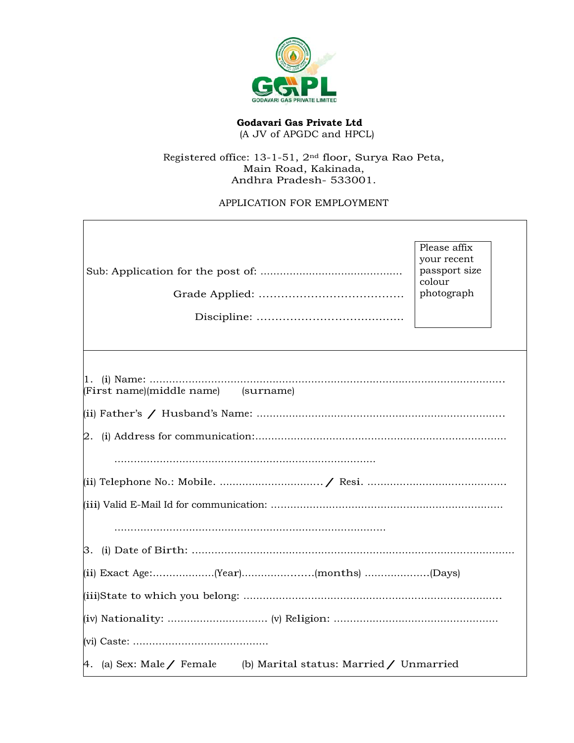

**Godavari Gas Private Ltd** (A JV of APGDC and HPCL)

## Registered office: 13-1-51, 2nd floor, Surya Rao Peta, Main Road, Kakinada, Andhra Pradesh- 533001.

## APPLICATION FOR EMPLOYMENT

|                                                                   | Please affix<br>your recent<br>passport size |
|-------------------------------------------------------------------|----------------------------------------------|
|                                                                   | colour                                       |
|                                                                   | photograph                                   |
|                                                                   |                                              |
|                                                                   |                                              |
|                                                                   |                                              |
| (First name)(middle name) (surname)                               |                                              |
|                                                                   |                                              |
|                                                                   |                                              |
|                                                                   |                                              |
|                                                                   |                                              |
|                                                                   |                                              |
|                                                                   |                                              |
|                                                                   |                                              |
|                                                                   |                                              |
|                                                                   |                                              |
|                                                                   |                                              |
|                                                                   |                                              |
| 4. (a) Sex: Male / Female (b) Marital status: Married / Unmarried |                                              |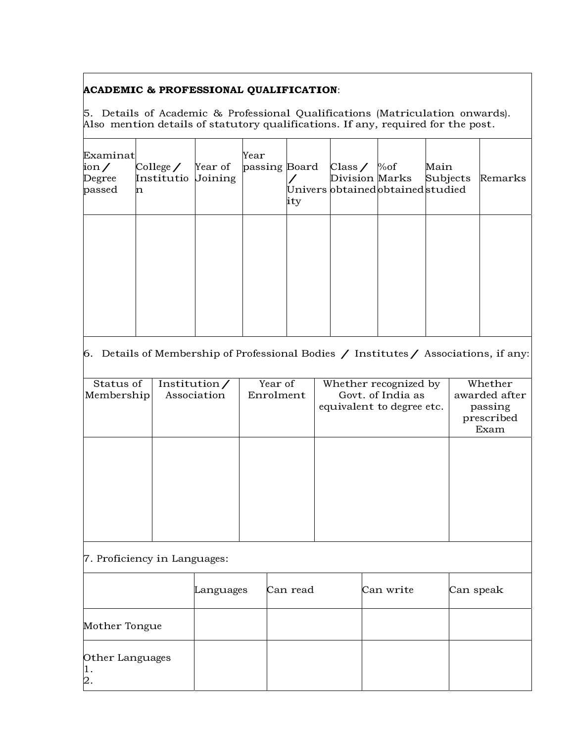## **ACADEMIC & PROFESSIONAL QUALIFICATION**:

5. Details of Academic & Professional Qualifications (Matriculation onwards). Also mention details of statutory qualifications. If any, required for the post.

| Examinat<br>$\frac{\text{ion}}{\text{}}$<br>Degree<br>passed | College $\angle$ Year of<br>Institutio Joining<br>n | Year<br>passing Board | ity | Class / $\%$ of<br>Univers obtained obtained studied | Main<br>Division Marks Subjects | Remarks |
|--------------------------------------------------------------|-----------------------------------------------------|-----------------------|-----|------------------------------------------------------|---------------------------------|---------|
|                                                              |                                                     |                       |     |                                                      |                                 |         |

# 6. Details of Membership of Professional Bodies  $\diagup$  Institutes  $\diagup$  Associations, if any:

| Status of  | Institution $\angle$ | Year of   | Whether recognized by                          | Whether                                        |
|------------|----------------------|-----------|------------------------------------------------|------------------------------------------------|
| Membership | Association          | Enrolment | Govt. of India as<br>equivalent to degree etc. | awarded after<br>passing<br>prescribed<br>Exam |
|            |                      |           |                                                |                                                |
|            |                      |           |                                                |                                                |
|            |                      |           |                                                |                                                |
|            |                      |           |                                                |                                                |
|            |                      |           |                                                |                                                |
|            |                      |           |                                                |                                                |
|            |                      |           |                                                |                                                |
|            |                      |           |                                                |                                                |

## 7. Proficiency in Languages:

|                             | Languages | Can read | Can write | Can speak |
|-----------------------------|-----------|----------|-----------|-----------|
| Mother Tongue               |           |          |           |           |
| Other Languages<br>1.<br>2. |           |          |           |           |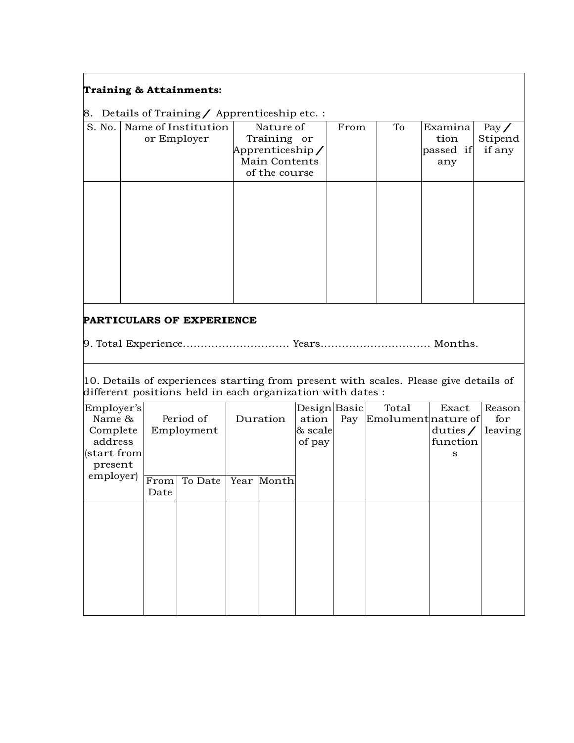### **Training & Attainments:**

8. Details of Training / Apprenticeship etc. :

|        | $\beta$ . Details of Hammig , Apprentices in Fett |                 |      |    |           |              |
|--------|---------------------------------------------------|-----------------|------|----|-----------|--------------|
| S. No. | Name of Institution                               | Nature of       | From | To | Examina   | Pay $\angle$ |
|        | or Employer                                       | Training or     |      |    | tion      | Stipend      |
|        |                                                   | Apprenticeship/ |      |    | passed if | if any       |
|        |                                                   | Main Contents   |      |    | any       |              |
|        |                                                   | of the course   |      |    |           |              |
|        |                                                   |                 |      |    |           |              |
|        |                                                   |                 |      |    |           |              |
|        |                                                   |                 |      |    |           |              |
|        |                                                   |                 |      |    |           |              |
|        |                                                   |                 |      |    |           |              |
|        |                                                   |                 |      |    |           |              |
|        |                                                   |                 |      |    |           |              |
|        |                                                   |                 |      |    |           |              |
|        |                                                   |                 |      |    |           |              |

### **PARTICULARS OF EXPERIENCE**

9. Total Experience.............................. Years............................... Months.

10. Details of experiences starting from present with scales. Please give details of different positions held in each organization with dates :

| Employer's<br>Name & |              | Period of  | Duration   | Design Basic<br>ation | Pay | Total<br>Emolument nature of | Exact                       | Reason<br>for |
|----------------------|--------------|------------|------------|-----------------------|-----|------------------------------|-----------------------------|---------------|
| Complete<br>address  |              | Employment |            | & scale               |     |                              | duties $\angle$<br>function | leaving       |
| (start from          |              |            |            | of pay                |     |                              | s                           |               |
| present              |              |            |            |                       |     |                              |                             |               |
| employer)            | From<br>Date | To Date    | Year Month |                       |     |                              |                             |               |
|                      |              |            |            |                       |     |                              |                             |               |
|                      |              |            |            |                       |     |                              |                             |               |
|                      |              |            |            |                       |     |                              |                             |               |
|                      |              |            |            |                       |     |                              |                             |               |
|                      |              |            |            |                       |     |                              |                             |               |
|                      |              |            |            |                       |     |                              |                             |               |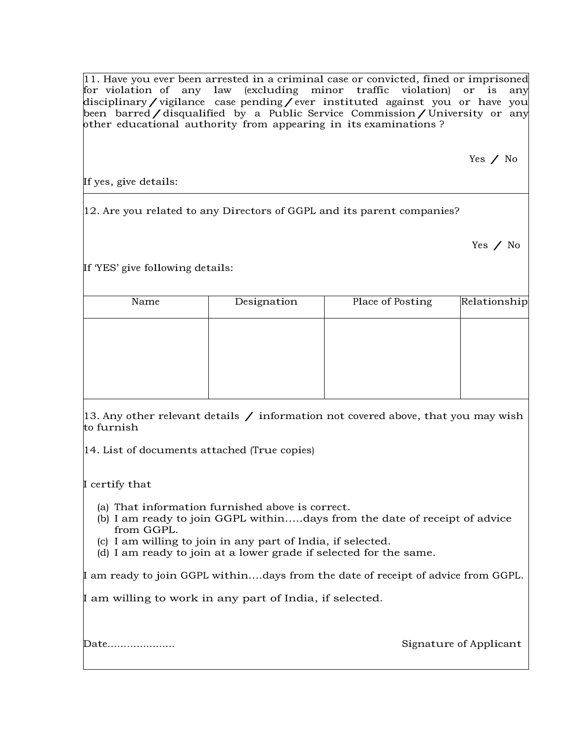11. Have you ever been arrested in a criminal case or convicted, fined or imprisoned for violation of any law (excluding minor traffic violation) or is any disciplinary/vigilance case pending/ever instituted against you or have you been barred/disqualified by a Public Service Commission/University or any other educational authority from appearing in its examinations ?

Yes / No

If yes, give details:

12. Are you related to any Directors of GGPL and its parent companies?

If 'YES' give following details:

| Name | Designation | Place of Posting | Relationship |
|------|-------------|------------------|--------------|
|      |             |                  |              |
|      |             |                  |              |
|      |             |                  |              |
|      |             |                  |              |

13. Any other relevant details  $/$  information not covered above, that you may wish to furnish

14. List of documents attached (True copies)

I certify that

- (a) That information furnished above is correct.
- (b) I am ready to join GGPL within…..days from the date of receipt of advice from GGPL.
- (c) I am willing to join in any part of India, if selected.
- (d) I am ready to join at a lower grade if selected for the same.

I am ready to join GGPL within....days from the date of receipt of advice from GGPL.

I am willing to work in any part of India, if selected.

Date………………… Signature of Applicant